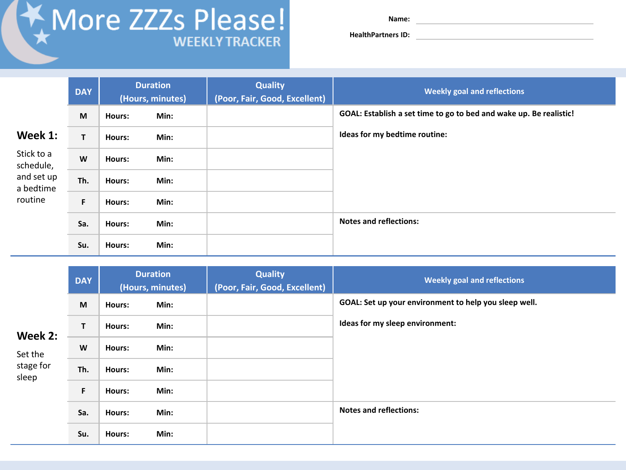## More ZZZs Please!

**Name:** 

**HealthPartners ID:**

|                                                                          | <b>DAY</b> | <b>Duration</b><br>(Hours, minutes) |      | <b>Quality</b><br>(Poor, Fair, Good, Excellent) | <b>Weekly goal and reflections</b>                                 |
|--------------------------------------------------------------------------|------------|-------------------------------------|------|-------------------------------------------------|--------------------------------------------------------------------|
| Week 1:<br>Stick to a<br>schedule,<br>and set up<br>a bedtime<br>routine | M          | <b>Hours:</b>                       | Min: |                                                 | GOAL: Establish a set time to go to bed and wake up. Be realistic! |
|                                                                          | T          | Hours:                              | Min: |                                                 | Ideas for my bedtime routine:                                      |
|                                                                          | W          | Hours:                              | Min: |                                                 |                                                                    |
|                                                                          | Th.        | Hours:                              | Min: |                                                 |                                                                    |
|                                                                          | F          | Hours:                              | Min: |                                                 |                                                                    |
|                                                                          | Sa.        | <b>Hours:</b>                       | Min: |                                                 | <b>Notes and reflections:</b>                                      |
|                                                                          | Su.        | Hours:                              | Min: |                                                 |                                                                    |

| Week 2:<br>Set the<br>stage for<br>sleep | <b>DAY</b> | <b>Duration</b><br>(Hours, minutes) |      | <b>Quality</b><br>(Poor, Fair, Good, Excellent) | <b>Weekly goal and reflections</b>                    |
|------------------------------------------|------------|-------------------------------------|------|-------------------------------------------------|-------------------------------------------------------|
|                                          | M          | Hours:                              | Min: |                                                 | GOAL: Set up your environment to help you sleep well. |
|                                          | T          | Hours:                              | Min: |                                                 | Ideas for my sleep environment:                       |
|                                          | W          | Hours:                              | Min: |                                                 |                                                       |
|                                          | Th.        | Hours:                              | Min: |                                                 |                                                       |
|                                          | F          | Hours:                              | Min: |                                                 |                                                       |
|                                          | Sa.        | Hours:                              | Min: |                                                 | <b>Notes and reflections:</b>                         |
|                                          | Su.        | Hours:                              | Min: |                                                 |                                                       |